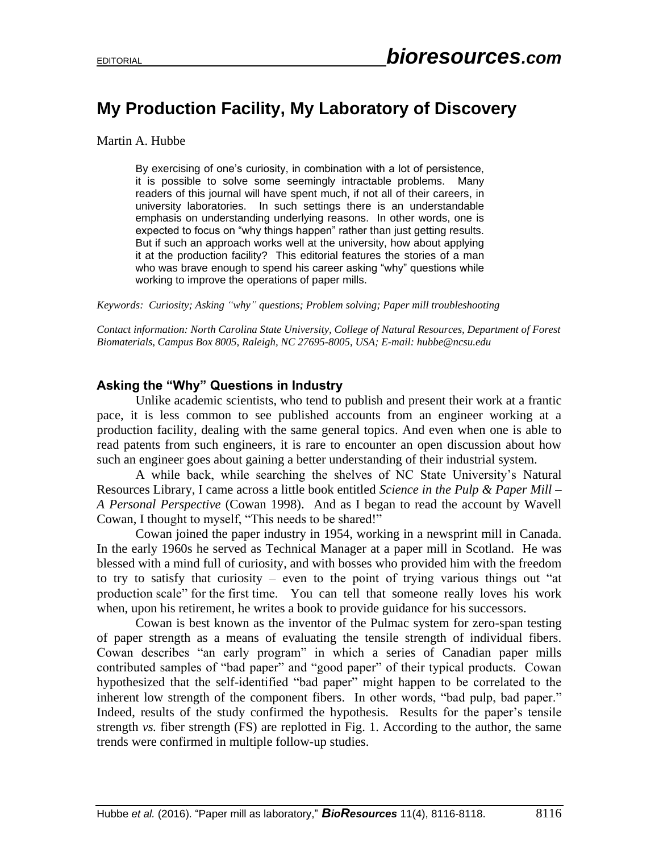## **My Production Facility, My Laboratory of Discovery**

Martin A. Hubbe

By exercising of one's curiosity, in combination with a lot of persistence, it is possible to solve some seemingly intractable problems. Many readers of this journal will have spent much, if not all of their careers, in university laboratories. In such settings there is an understandable emphasis on understanding underlying reasons. In other words, one is expected to focus on "why things happen" rather than just getting results. But if such an approach works well at the university, how about applying it at the production facility? This editorial features the stories of a man who was brave enough to spend his career asking "why" questions while working to improve the operations of paper mills.

*Keywords: Curiosity; Asking "why" questions; Problem solving; Paper mill troubleshooting*

*Contact information: North Carolina State University, College of Natural Resources, Department of Forest Biomaterials, Campus Box 8005, Raleigh, NC 27695-8005, USA; E-mail: hubbe@ncsu.edu*

#### **Asking the "Why" Questions in Industry**

Unlike academic scientists, who tend to publish and present their work at a frantic pace, it is less common to see published accounts from an engineer working at a production facility, dealing with the same general topics. And even when one is able to read patents from such engineers, it is rare to encounter an open discussion about how such an engineer goes about gaining a better understanding of their industrial system.

A while back, while searching the shelves of NC State University's Natural Resources Library, I came across a little book entitled *Science in the Pulp & Paper Mill – A Personal Perspective* (Cowan 1998). And as I began to read the account by Wavell Cowan, I thought to myself, "This needs to be shared!"

Cowan joined the paper industry in 1954, working in a newsprint mill in Canada. In the early 1960s he served as Technical Manager at a paper mill in Scotland. He was blessed with a mind full of curiosity, and with bosses who provided him with the freedom to try to satisfy that curiosity – even to the point of trying various things out "at production scale" for the first time. You can tell that someone really loves his work when, upon his retirement, he writes a book to provide guidance for his successors.

Cowan is best known as the inventor of the Pulmac system for zero-span testing of paper strength as a means of evaluating the tensile strength of individual fibers. Cowan describes "an early program" in which a series of Canadian paper mills contributed samples of "bad paper" and "good paper" of their typical products. Cowan hypothesized that the self-identified "bad paper" might happen to be correlated to the inherent low strength of the component fibers. In other words, "bad pulp, bad paper." Indeed, results of the study confirmed the hypothesis. Results for the paper's tensile strength *vs.* fiber strength (FS) are replotted in Fig. 1. According to the author, the same trends were confirmed in multiple follow-up studies.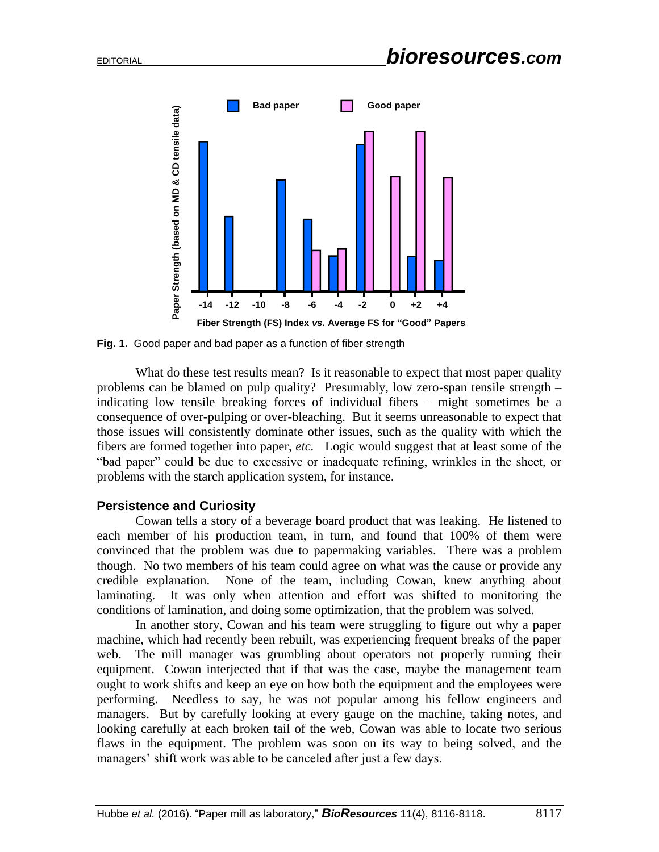# EDITORIAL *bioresources.com*



**Fig. 1.** Good paper and bad paper as a function of fiber strength

What do these test results mean? Is it reasonable to expect that most paper quality problems can be blamed on pulp quality? Presumably, low zero-span tensile strength – indicating low tensile breaking forces of individual fibers – might sometimes be a consequence of over-pulping or over-bleaching. But it seems unreasonable to expect that those issues will consistently dominate other issues, such as the quality with which the fibers are formed together into paper, *etc.* Logic would suggest that at least some of the "bad paper" could be due to excessive or inadequate refining, wrinkles in the sheet, or problems with the starch application system, for instance.

#### **Persistence and Curiosity**

Cowan tells a story of a beverage board product that was leaking. He listened to each member of his production team, in turn, and found that 100% of them were convinced that the problem was due to papermaking variables. There was a problem though. No two members of his team could agree on what was the cause or provide any credible explanation. None of the team, including Cowan, knew anything about laminating. It was only when attention and effort was shifted to monitoring the conditions of lamination, and doing some optimization, that the problem was solved.

In another story, Cowan and his team were struggling to figure out why a paper machine, which had recently been rebuilt, was experiencing frequent breaks of the paper web. The mill manager was grumbling about operators not properly running their equipment. Cowan interjected that if that was the case, maybe the management team ought to work shifts and keep an eye on how both the equipment and the employees were performing. Needless to say, he was not popular among his fellow engineers and managers. But by carefully looking at every gauge on the machine, taking notes, and looking carefully at each broken tail of the web, Cowan was able to locate two serious flaws in the equipment. The problem was soon on its way to being solved, and the managers' shift work was able to be canceled after just a few days.